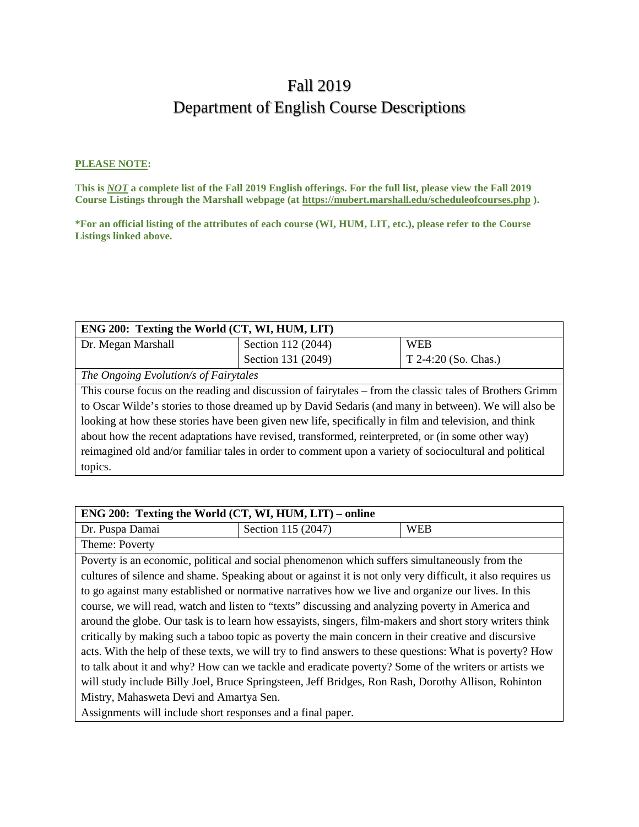# Fall 2019 Department of English Course Descriptions

#### **PLEASE NOTE:**

**This is** *NOT* **a complete list of the Fall 2019 English offerings. For the full list, please view the Fall 2019 Course Listings through the Marshall webpage (at https://mubert.marshall.edu/scheduleofcourses.php ).**

**\*For an official listing of the attributes of each course (WI, HUM, LIT, etc.), please refer to the Course Listings linked above.**

| ENG 200: Texting the World (CT, WI, HUM, LIT)                                                            |                    |                        |
|----------------------------------------------------------------------------------------------------------|--------------------|------------------------|
| Dr. Megan Marshall                                                                                       | Section 112 (2044) | <b>WEB</b>             |
|                                                                                                          | Section 131 (2049) | $T$ 2-4:20 (So. Chas.) |
| The Ongoing Evolution/s of Fairytales                                                                    |                    |                        |
| This course focus on the reading and discussion of fairytales – from the classic tales of Brothers Grimm |                    |                        |
| to Oscar Wilde's stories to those dreamed up by David Sedaris (and many in between). We will also be     |                    |                        |
| looking at how these stories have been given new life, specifically in film and television, and think    |                    |                        |
| about how the recent adaptations have revised, transformed, reinterpreted, or (in some other way)        |                    |                        |
| reimagined old and/or familiar tales in order to comment upon a variety of sociocultural and political   |                    |                        |
| topics.                                                                                                  |                    |                        |

| ENG 200: Texting the World (CT, WI, HUM, LIT) – online      |                                                                                                             |            |
|-------------------------------------------------------------|-------------------------------------------------------------------------------------------------------------|------------|
| Dr. Puspa Damai                                             | Section 115 (2047)                                                                                          | <b>WEB</b> |
| Theme: Poverty                                              |                                                                                                             |            |
|                                                             | Poverty is an economic, political and social phenomenon which suffers simultaneously from the               |            |
|                                                             | cultures of silence and shame. Speaking about or against it is not only very difficult, it also requires us |            |
|                                                             | to go against many established or normative narratives how we live and organize our lives. In this          |            |
|                                                             | course, we will read, watch and listen to "texts" discussing and analyzing poverty in America and           |            |
|                                                             | around the globe. Our task is to learn how essayists, singers, film-makers and short story writers think    |            |
|                                                             | critically by making such a taboo topic as poverty the main concern in their creative and discursive        |            |
|                                                             | acts. With the help of these texts, we will try to find answers to these questions: What is poverty? How    |            |
|                                                             | to talk about it and why? How can we tackle and eradicate poverty? Some of the writers or artists we        |            |
|                                                             | will study include Billy Joel, Bruce Springsteen, Jeff Bridges, Ron Rash, Dorothy Allison, Rohinton         |            |
| Mistry, Mahasweta Devi and Amartya Sen.                     |                                                                                                             |            |
| Assignments will include short responses and a final paper. |                                                                                                             |            |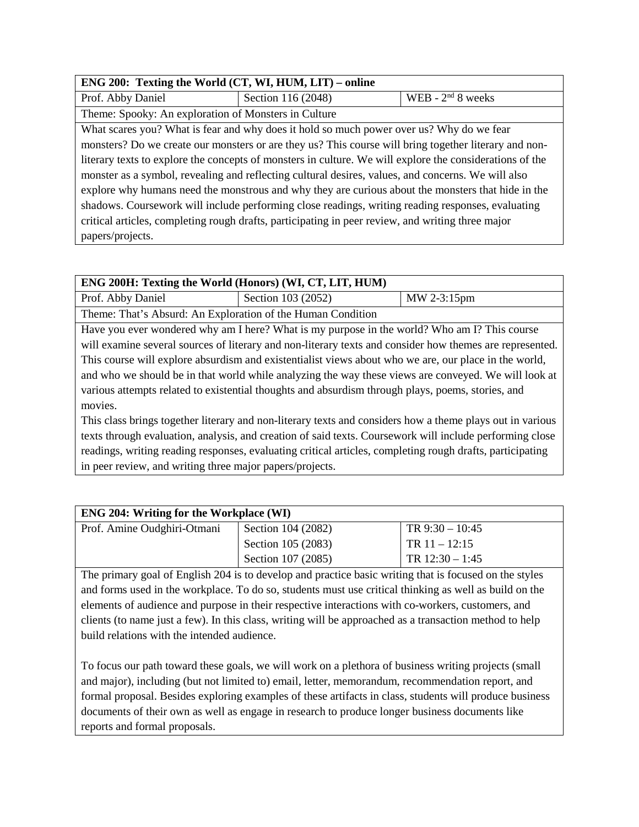## **ENG 200: Texting the World (CT, WI, HUM, LIT) – online**  Prof. Abby Daniel Section 116 (2048) WEB - 2<sup>nd</sup> 8 weeks Theme: Spooky: An exploration of Monsters in Culture What scares you? What is fear and why does it hold so much power over us? Why do we fear monsters? Do we create our monsters or are they us? This course will bring together literary and nonliterary texts to explore the concepts of monsters in culture. We will explore the considerations of the monster as a symbol, revealing and reflecting cultural desires, values, and concerns. We will also explore why humans need the monstrous and why they are curious about the monsters that hide in the shadows. Coursework will include performing close readings, writing reading responses, evaluating critical articles, completing rough drafts, participating in peer review, and writing three major papers/projects.

| ENG 200H: Texting the World (Honors) (WI, CT, LIT, HUM)                                                  |                                                             |             |  |
|----------------------------------------------------------------------------------------------------------|-------------------------------------------------------------|-------------|--|
| Prof. Abby Daniel                                                                                        | Section 103 (2052)                                          | MW 2-3:15pm |  |
|                                                                                                          | Theme: That's Absurd: An Exploration of the Human Condition |             |  |
| Have you ever wondered why am I here? What is my purpose in the world? Who am I? This course             |                                                             |             |  |
| will examine several sources of literary and non-literary texts and consider how themes are represented. |                                                             |             |  |
| This course will explore absurdism and existentialist views about who we are, our place in the world,    |                                                             |             |  |
| and who we should be in that world while analyzing the way these views are conveyed. We will look at     |                                                             |             |  |
| various attempts related to existential thoughts and absurdism through plays, poems, stories, and        |                                                             |             |  |

movies. This class brings together literary and non-literary texts and considers how a theme plays out in various texts through evaluation, analysis, and creation of said texts. Coursework will include performing close readings, writing reading responses, evaluating critical articles, completing rough drafts, participating in peer review, and writing three major papers/projects.

| <b>ENG 204: Writing for the Workplace (WI)</b> |                    |                   |
|------------------------------------------------|--------------------|-------------------|
| Prof. Amine Oudghiri-Otmani                    | Section 104 (2082) | TR $9:30 - 10:45$ |
|                                                | Section 105 (2083) | TR $11 - 12:15$   |
|                                                | Section 107 (2085) | TR $12:30 - 1:45$ |

The primary goal of English 204 is to develop and practice basic writing that is focused on the styles and forms used in the workplace. To do so, students must use critical thinking as well as build on the elements of audience and purpose in their respective interactions with co-workers, customers, and clients (to name just a few). In this class, writing will be approached as a transaction method to help build relations with the intended audience.

To focus our path toward these goals, we will work on a plethora of business writing projects (small and major), including (but not limited to) email, letter, memorandum, recommendation report, and formal proposal. Besides exploring examples of these artifacts in class, students will produce business documents of their own as well as engage in research to produce longer business documents like reports and formal proposals.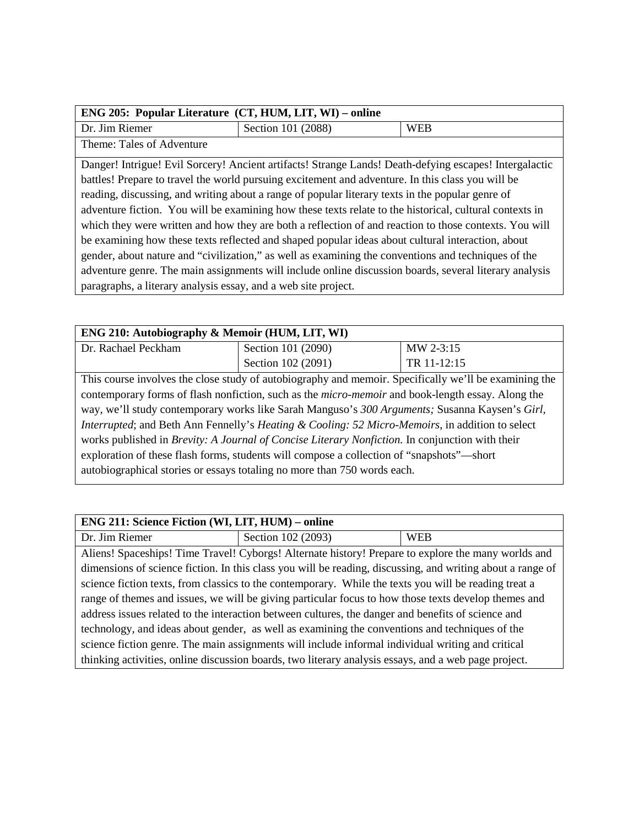| ENG 205: Popular Literature (CT, HUM, LIT, WI) – online                                                |                    |            |
|--------------------------------------------------------------------------------------------------------|--------------------|------------|
| Dr. Jim Riemer                                                                                         | Section 101 (2088) | <b>WEB</b> |
| Theme: Tales of Adventure                                                                              |                    |            |
| Danger! Intrigue! Evil Sorcery! Ancient artifacts! Strange Lands! Death-defying escapes! Intergalactic |                    |            |
| battles! Prepare to travel the world pursuing excitement and adventure. In this class you will be      |                    |            |
| reading, discussing, and writing about a range of popular literary texts in the popular genre of       |                    |            |

adventure fiction. You will be examining how these texts relate to the historical, cultural contexts in which they were written and how they are both a reflection of and reaction to those contexts. You will be examining how these texts reflected and shaped popular ideas about cultural interaction, about gender, about nature and "civilization," as well as examining the conventions and techniques of the adventure genre. The main assignments will include online discussion boards, several literary analysis paragraphs, a literary analysis essay, and a web site project.

| ENG 210: Autobiography & Memoir (HUM, LIT, WI) |                                    |             |
|------------------------------------------------|------------------------------------|-------------|
| Dr. Rachael Peckham                            | Section 101 (2090)                 | $MW 2-3:15$ |
|                                                | Section 102 (2091)                 | TR 11-12:15 |
| ____                                           | $\sim$ $\sim$ $\sim$ $\sim$ $\sim$ | .           |

This course involves the close study of autobiography and memoir. Specifically we'll be examining the contemporary forms of flash nonfiction, such as the *micro-memoir* and book-length essay. Along the way, we'll study contemporary works like Sarah Manguso's *300 Arguments;* Susanna Kaysen's *Girl, Interrupted*; and Beth Ann Fennelly's *Heating & Cooling: 52 Micro-Memoirs*, in addition to select works published in *Brevity: A Journal of Concise Literary Nonfiction.* In conjunction with their exploration of these flash forms, students will compose a collection of "snapshots"—short autobiographical stories or essays totaling no more than 750 words each.

| ENG 211: Science Fiction (WI, LIT, HUM) – online                                                      |                                                                                                            |            |
|-------------------------------------------------------------------------------------------------------|------------------------------------------------------------------------------------------------------------|------------|
| Dr. Jim Riemer                                                                                        | Section 102 (2093)                                                                                         | <b>WEB</b> |
|                                                                                                       | Aliens! Spaceships! Time Travel! Cyborgs! Alternate history! Prepare to explore the many worlds and        |            |
|                                                                                                       | dimensions of science fiction. In this class you will be reading, discussing, and writing about a range of |            |
| science fiction texts, from classics to the contemporary. While the texts you will be reading treat a |                                                                                                            |            |
| range of themes and issues, we will be giving particular focus to how those texts develop themes and  |                                                                                                            |            |
| address issues related to the interaction between cultures, the danger and benefits of science and    |                                                                                                            |            |
| technology, and ideas about gender, as well as examining the conventions and techniques of the        |                                                                                                            |            |
|                                                                                                       | science fiction genre. The main assignments will include informal individual writing and critical          |            |
|                                                                                                       | thinking activities, online discussion boards, two literary analysis essays, and a web page project.       |            |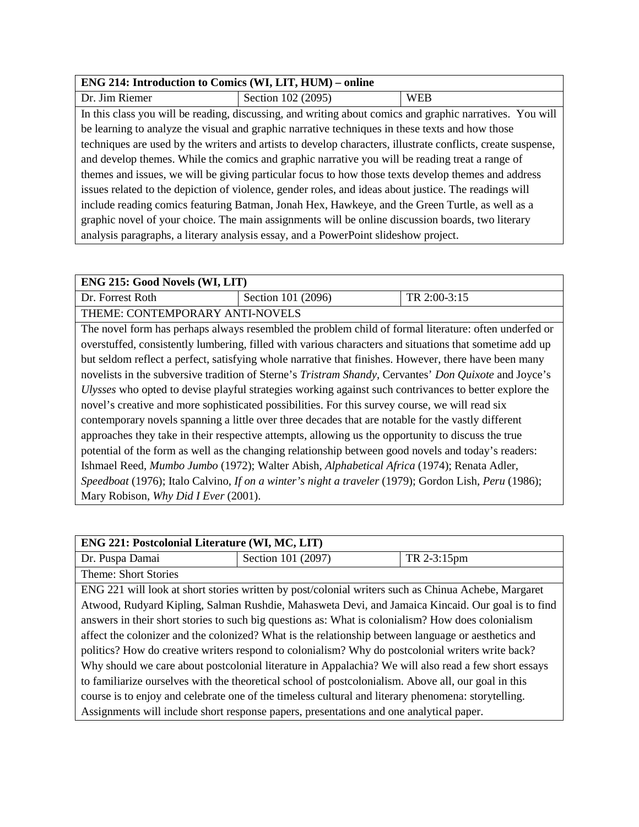## **ENG 214: Introduction to Comics (WI, LIT, HUM) – online**

| Dr. Jim Riemer                                                                                      | Section 102 (2095)                                                                                           | <b>WEB</b> |
|-----------------------------------------------------------------------------------------------------|--------------------------------------------------------------------------------------------------------------|------------|
|                                                                                                     | In this class you will be reading, discussing, and writing about comics and graphic narratives. You will     |            |
|                                                                                                     | be learning to analyze the visual and graphic narrative techniques in these texts and how those              |            |
|                                                                                                     | techniques are used by the writers and artists to develop characters, illustrate conflicts, create suspense, |            |
| and develop themes. While the comics and graphic narrative you will be reading treat a range of     |                                                                                                              |            |
| themes and issues, we will be giving particular focus to how those texts develop themes and address |                                                                                                              |            |
|                                                                                                     | issues related to the depiction of violence, gender roles, and ideas about justice. The readings will        |            |
|                                                                                                     | include reading comics featuring Batman, Jonah Hex, Hawkeye, and the Green Turtle, as well as a              |            |
|                                                                                                     | graphic novel of your choice. The main assignments will be online discussion boards, two literary            |            |
|                                                                                                     | analysis paragraphs, a literary analysis essay, and a PowerPoint slideshow project.                          |            |

| ENG 215: Good Novels (WI, LIT)                                                                     |                                                                                                         |              |
|----------------------------------------------------------------------------------------------------|---------------------------------------------------------------------------------------------------------|--------------|
| Dr. Forrest Roth                                                                                   | Section 101 (2096)                                                                                      | TR 2:00-3:15 |
| THEME: CONTEMPORARY ANTI-NOVELS                                                                    |                                                                                                         |              |
|                                                                                                    | The novel form has perhaps always resembled the problem child of formal literature: often underfed or   |              |
|                                                                                                    | overstuffed, consistently lumbering, filled with various characters and situations that sometime add up |              |
|                                                                                                    | but seldom reflect a perfect, satisfying whole narrative that finishes. However, there have been many   |              |
|                                                                                                    | novelists in the subversive tradition of Sterne's Tristram Shandy, Cervantes' Don Quixote and Joyce's   |              |
|                                                                                                    | Ulysses who opted to devise playful strategies working against such contrivances to better explore the  |              |
| novel's creative and more sophisticated possibilities. For this survey course, we will read six    |                                                                                                         |              |
| contemporary novels spanning a little over three decades that are notable for the vastly different |                                                                                                         |              |
|                                                                                                    | approaches they take in their respective attempts, allowing us the opportunity to discuss the true      |              |
|                                                                                                    | potential of the form as well as the changing relationship between good novels and today's readers:     |              |
| Ishmael Reed, Mumbo Jumbo (1972); Walter Abish, Alphabetical Africa (1974); Renata Adler,          |                                                                                                         |              |
|                                                                                                    | Speedboat (1976); Italo Calvino, If on a winter's night a traveler (1979); Gordon Lish, Peru (1986);    |              |
| Mary Robison, Why Did I Ever (2001).                                                               |                                                                                                         |              |

| <b>ENG 221: Postcolonial Literature (WI, MC, LIT)</b>                                                |                                                                                                     |             |
|------------------------------------------------------------------------------------------------------|-----------------------------------------------------------------------------------------------------|-------------|
| Dr. Puspa Damai                                                                                      | Section 101 (2097)                                                                                  | TR 2-3:15pm |
| <b>Theme: Short Stories</b>                                                                          |                                                                                                     |             |
|                                                                                                      | ENG 221 will look at short stories written by post/colonial writers such as Chinua Achebe, Margaret |             |
|                                                                                                      | Atwood, Rudyard Kipling, Salman Rushdie, Mahasweta Devi, and Jamaica Kincaid. Our goal is to find   |             |
| answers in their short stories to such big questions as: What is colonialism? How does colonialism   |                                                                                                     |             |
| affect the colonizer and the colonized? What is the relationship between language or aesthetics and  |                                                                                                     |             |
| politics? How do creative writers respond to colonialism? Why do postcolonial writers write back?    |                                                                                                     |             |
| Why should we care about postcolonial literature in Appalachia? We will also read a few short essays |                                                                                                     |             |
| to familiarize ourselves with the theoretical school of postcolonialism. Above all, our goal in this |                                                                                                     |             |
| course is to enjoy and celebrate one of the timeless cultural and literary phenomena: storytelling.  |                                                                                                     |             |
| Assignments will include short response papers, presentations and one analytical paper.              |                                                                                                     |             |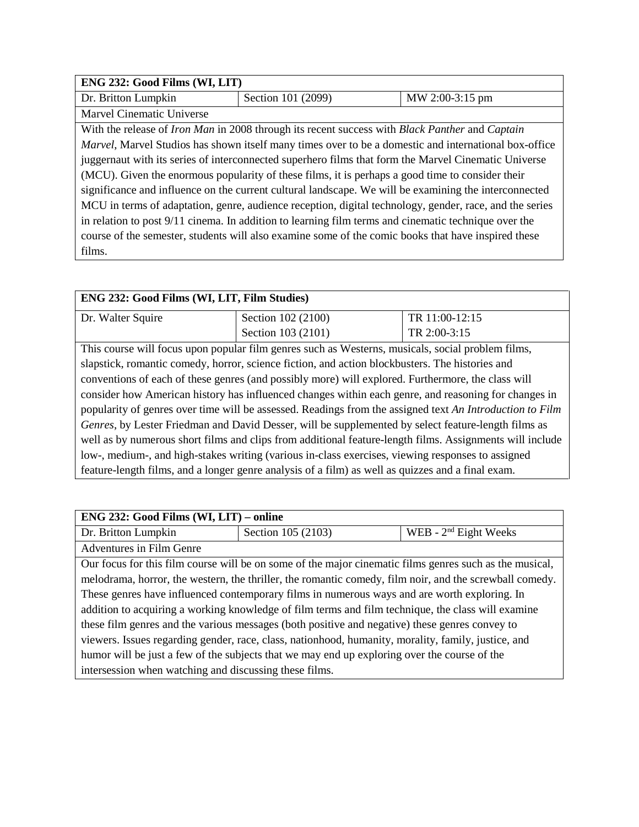| ENG 232: Good Films (WI, LIT)                                                                           |                                                                                                                     |                 |
|---------------------------------------------------------------------------------------------------------|---------------------------------------------------------------------------------------------------------------------|-----------------|
| Dr. Britton Lumpkin                                                                                     | Section 101 (2099)                                                                                                  | MW 2:00-3:15 pm |
| Marvel Cinematic Universe                                                                               |                                                                                                                     |                 |
|                                                                                                         | With the release of <i>Iron Man</i> in 2008 through its recent success with <i>Black Panther</i> and <i>Captain</i> |                 |
|                                                                                                         | <i>Marvel</i> , Marvel Studios has shown itself many times over to be a domestic and international box-office       |                 |
| juggernaut with its series of interconnected superhero films that form the Marvel Cinematic Universe    |                                                                                                                     |                 |
| (MCU). Given the enormous popularity of these films, it is perhaps a good time to consider their        |                                                                                                                     |                 |
| significance and influence on the current cultural landscape. We will be examining the interconnected   |                                                                                                                     |                 |
| MCU in terms of adaptation, genre, audience reception, digital technology, gender, race, and the series |                                                                                                                     |                 |
| in relation to post 9/11 cinema. In addition to learning film terms and cinematic technique over the    |                                                                                                                     |                 |
|                                                                                                         | course of the semester, students will also examine some of the comic books that have inspired these                 |                 |
| films.                                                                                                  |                                                                                                                     |                 |

| ENG 232: Good Films (WI, LIT, Film Studies)                                                              |                    |                                                                                                   |
|----------------------------------------------------------------------------------------------------------|--------------------|---------------------------------------------------------------------------------------------------|
| Dr. Walter Squire                                                                                        | Section 102 (2100) | TR 11:00-12:15                                                                                    |
|                                                                                                          | Section 103 (2101) | TR 2:00-3:15                                                                                      |
|                                                                                                          |                    | This course will focus upon popular film genres such as Westerns, musicals, social problem films, |
| slapstick, romantic comedy, horror, science fiction, and action blockbusters. The histories and          |                    |                                                                                                   |
| conventions of each of these genres (and possibly more) will explored. Furthermore, the class will       |                    |                                                                                                   |
| consider how American history has influenced changes within each genre, and reasoning for changes in     |                    |                                                                                                   |
| popularity of genres over time will be assessed. Readings from the assigned text An Introduction to Film |                    |                                                                                                   |
| Genres, by Lester Friedman and David Desser, will be supplemented by select feature-length films as      |                    |                                                                                                   |
| well as by numerous short films and clips from additional feature-length films. Assignments will include |                    |                                                                                                   |
| low-, medium-, and high-stakes writing (various in-class exercises, viewing responses to assigned        |                    |                                                                                                   |

feature-length films, and a longer genre analysis of a film) as well as quizzes and a final exam.

| ENG 232: Good Films (WI, LIT) – online                                                                  |                                                                                                         |                         |
|---------------------------------------------------------------------------------------------------------|---------------------------------------------------------------------------------------------------------|-------------------------|
| Dr. Britton Lumpkin                                                                                     | Section 105 (2103)                                                                                      | WEB - $2nd$ Eight Weeks |
| Adventures in Film Genre                                                                                |                                                                                                         |                         |
|                                                                                                         | Our focus for this film course will be on some of the major cinematic films genres such as the musical, |                         |
| melodrama, horror, the western, the thriller, the romantic comedy, film noir, and the screwball comedy. |                                                                                                         |                         |
| These genres have influenced contemporary films in numerous ways and are worth exploring. In            |                                                                                                         |                         |
| addition to acquiring a working knowledge of film terms and film technique, the class will examine      |                                                                                                         |                         |
| these film genres and the various messages (both positive and negative) these genres convey to          |                                                                                                         |                         |
| viewers. Issues regarding gender, race, class, nationhood, humanity, morality, family, justice, and     |                                                                                                         |                         |
| humor will be just a few of the subjects that we may end up exploring over the course of the            |                                                                                                         |                         |
| intersession when watching and discussing these films.                                                  |                                                                                                         |                         |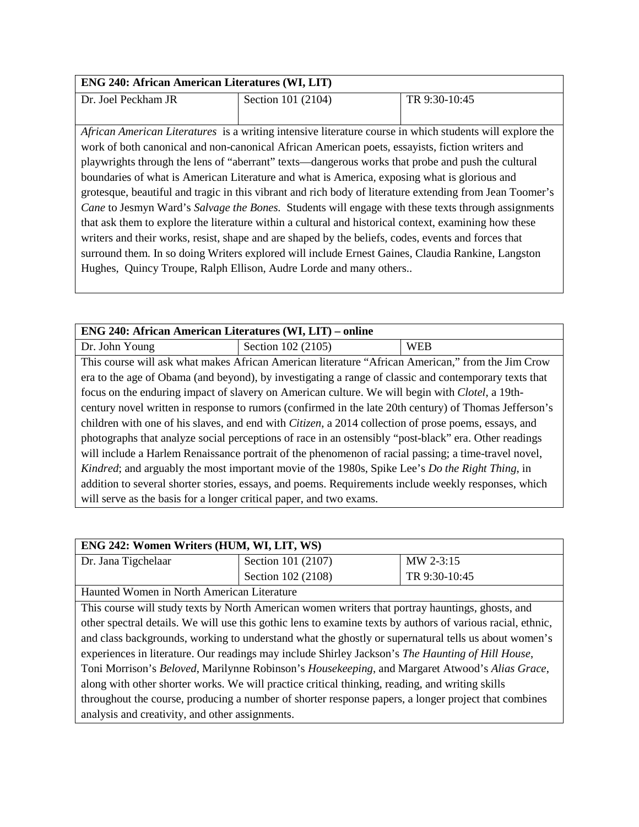| <b>ENG 240: African American Literatures (WI, LIT)</b>                                                   |                                                                                                          |               |
|----------------------------------------------------------------------------------------------------------|----------------------------------------------------------------------------------------------------------|---------------|
| Dr. Joel Peckham JR                                                                                      | Section 101 (2104)                                                                                       | TR 9:30-10:45 |
|                                                                                                          |                                                                                                          |               |
|                                                                                                          | African American Literatures is a writing intensive literature course in which students will explore the |               |
|                                                                                                          | work of both canonical and non-canonical African American poets, essayists, fiction writers and          |               |
|                                                                                                          | playwrights through the lens of "aberrant" texts—dangerous works that probe and push the cultural        |               |
| boundaries of what is American Literature and what is America, exposing what is glorious and             |                                                                                                          |               |
| grotesque, beautiful and tragic in this vibrant and rich body of literature extending from Jean Toomer's |                                                                                                          |               |
| Cane to Jesmyn Ward's Salvage the Bones. Students will engage with these texts through assignments       |                                                                                                          |               |
| that ask them to explore the literature within a cultural and historical context, examining how these    |                                                                                                          |               |
| writers and their works, resist, shape and are shaped by the beliefs, codes, events and forces that      |                                                                                                          |               |
| surround them. In so doing Writers explored will include Ernest Gaines, Claudia Rankine, Langston        |                                                                                                          |               |
|                                                                                                          | Hughes, Quincy Troupe, Ralph Ellison, Audre Lorde and many others                                        |               |

| <b>ENG 240: African American Literatures (WI, LIT) – online</b>                                              |                                                                                                         |            |
|--------------------------------------------------------------------------------------------------------------|---------------------------------------------------------------------------------------------------------|------------|
| Dr. John Young                                                                                               | Section 102 (2105)                                                                                      | <b>WEB</b> |
|                                                                                                              | This course will ask what makes African American literature "African American," from the Jim Crow       |            |
|                                                                                                              | era to the age of Obama (and beyond), by investigating a range of classic and contemporary texts that   |            |
| focus on the enduring impact of slavery on American culture. We will begin with <i>Clotel</i> , a 19th-      |                                                                                                         |            |
| century novel written in response to rumors (confirmed in the late 20th century) of Thomas Jefferson's       |                                                                                                         |            |
| children with one of his slaves, and end with <i>Citizen</i> , a 2014 collection of prose poems, essays, and |                                                                                                         |            |
| photographs that analyze social perceptions of race in an ostensibly "post-black" era. Other readings        |                                                                                                         |            |
| will include a Harlem Renaissance portrait of the phenomenon of racial passing; a time-travel novel,         |                                                                                                         |            |
|                                                                                                              | Kindred; and arguably the most important movie of the 1980s, Spike Lee's <i>Do the Right Thing</i> , in |            |
|                                                                                                              | addition to several shorter stories, essays, and poems. Requirements include weekly responses, which    |            |
| will serve as the basis for a longer critical paper, and two exams.                                          |                                                                                                         |            |

| ENG 242: Women Writers (HUM, WI, LIT, WS)                                                                   |                                                                                                  |               |
|-------------------------------------------------------------------------------------------------------------|--------------------------------------------------------------------------------------------------|---------------|
| Dr. Jana Tigchelaar                                                                                         | Section 101 (2107)                                                                               | MW 2-3:15     |
|                                                                                                             | Section 102 (2108)                                                                               | TR 9:30-10:45 |
| Haunted Women in North American Literature                                                                  |                                                                                                  |               |
|                                                                                                             | This course will study texts by North American women writers that portray hauntings, ghosts, and |               |
| other spectral details. We will use this gothic lens to examine texts by authors of various racial, ethnic, |                                                                                                  |               |
| and class backgrounds, working to understand what the ghostly or supernatural tells us about women's        |                                                                                                  |               |
| experiences in literature. Our readings may include Shirley Jackson's The Haunting of Hill House,           |                                                                                                  |               |
| Toni Morrison's Beloved, Marilynne Robinson's Housekeeping, and Margaret Atwood's Alias Grace,              |                                                                                                  |               |
| along with other shorter works. We will practice critical thinking, reading, and writing skills             |                                                                                                  |               |
| throughout the course, producing a number of shorter response papers, a longer project that combines        |                                                                                                  |               |
| analysis and creativity, and other assignments.                                                             |                                                                                                  |               |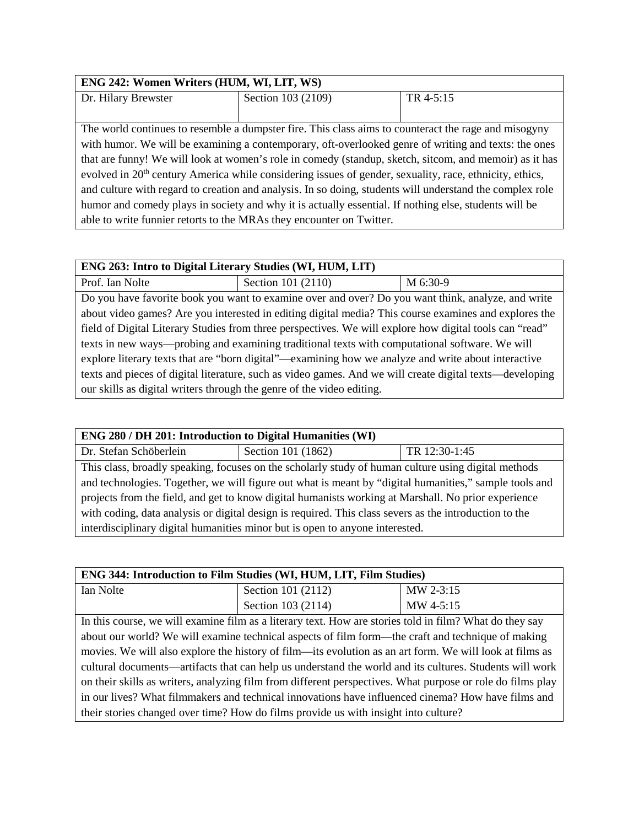| ENG 242: Women Writers (HUM, WI, LIT, WS)                                                                           |                                                                                                      |           |
|---------------------------------------------------------------------------------------------------------------------|------------------------------------------------------------------------------------------------------|-----------|
| Dr. Hilary Brewster                                                                                                 | Section 103 (2109)                                                                                   | TR 4-5:15 |
|                                                                                                                     |                                                                                                      |           |
|                                                                                                                     | The world continues to resemble a dumpster fire. This class aims to counteract the rage and misogyny |           |
| with humor. We will be examining a contemporary, oft-overlooked genre of writing and texts: the ones                |                                                                                                      |           |
| that are funny! We will look at women's role in comedy (standup, sketch, sitcom, and memoir) as it has              |                                                                                                      |           |
| evolved in 20 <sup>th</sup> century America while considering issues of gender, sexuality, race, ethnicity, ethics, |                                                                                                      |           |
| and culture with regard to creation and analysis. In so doing, students will understand the complex role            |                                                                                                      |           |
| humor and comedy plays in society and why it is actually essential. If nothing else, students will be               |                                                                                                      |           |
| able to write funnier retorts to the MRAs they encounter on Twitter.                                                |                                                                                                      |           |

| ENG 263: Intro to Digital Literary Studies (WI, HUM, LIT)                                                |                                                                                                       |          |
|----------------------------------------------------------------------------------------------------------|-------------------------------------------------------------------------------------------------------|----------|
| Prof. Ian Nolte                                                                                          | Section 101 (2110)                                                                                    | M 6:30-9 |
|                                                                                                          | Do you have favorite book you want to examine over and over? Do you want think, analyze, and write    |          |
|                                                                                                          | about video games? Are you interested in editing digital media? This course examines and explores the |          |
| field of Digital Literary Studies from three perspectives. We will explore how digital tools can "read"  |                                                                                                       |          |
| texts in new ways—probing and examining traditional texts with computational software. We will           |                                                                                                       |          |
| explore literary texts that are "born digital"—examining how we analyze and write about interactive      |                                                                                                       |          |
| texts and pieces of digital literature, such as video games. And we will create digital texts—developing |                                                                                                       |          |
| our skills as digital writers through the genre of the video editing.                                    |                                                                                                       |          |

| <b>ENG 280 / DH 201: Introduction to Digital Humanities (WI)</b>                                       |                    |               |  |
|--------------------------------------------------------------------------------------------------------|--------------------|---------------|--|
| Dr. Stefan Schöberlein                                                                                 | Section 101 (1862) | TR 12:30-1:45 |  |
| This class, broadly speaking, focuses on the scholarly study of human culture using digital methods    |                    |               |  |
| and technologies. Together, we will figure out what is meant by "digital humanities," sample tools and |                    |               |  |
| projects from the field, and get to know digital humanists working at Marshall. No prior experience    |                    |               |  |
| with coding, data analysis or digital design is required. This class severs as the introduction to the |                    |               |  |
| interdisciplinary digital humanities minor but is open to anyone interested.                           |                    |               |  |

| <b>ENG 344: Introduction to Film Studies (WI, HUM, LIT, Film Studies)</b> |                    |           |
|---------------------------------------------------------------------------|--------------------|-----------|
| Ian Nolte                                                                 | Section 101 (2112) | MW 2-3:15 |
|                                                                           | Section 103 (2114) | MW 4-5:15 |

In this course, we will examine film as a literary text. How are stories told in film? What do they say about our world? We will examine technical aspects of film form—the craft and technique of making movies. We will also explore the history of film—its evolution as an art form. We will look at films as cultural documents—artifacts that can help us understand the world and its cultures. Students will work on their skills as writers, analyzing film from different perspectives. What purpose or role do films play in our lives? What filmmakers and technical innovations have influenced cinema? How have films and their stories changed over time? How do films provide us with insight into culture?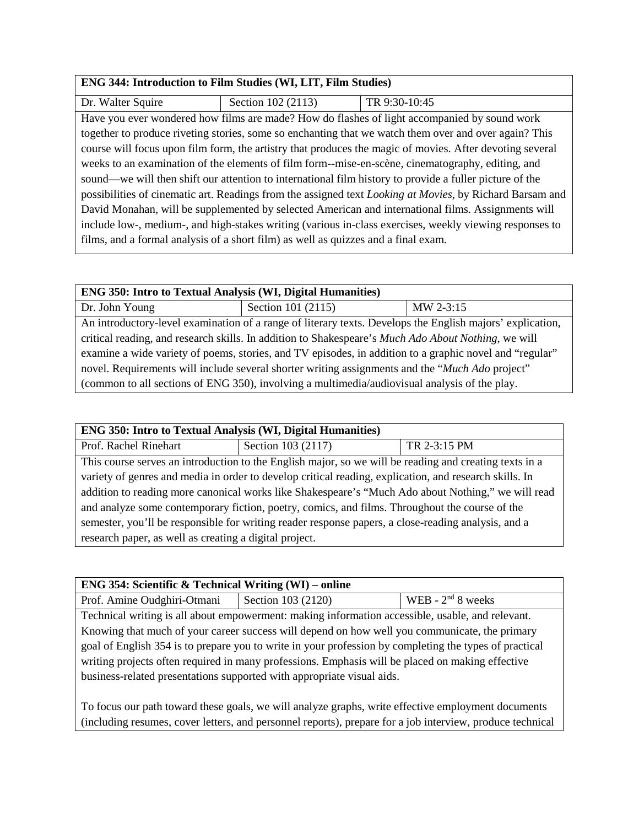#### **ENG 344: Introduction to Film Studies (WI, LIT, Film Studies)**

| Dr. Walter Squire                                                                                                | Section 102 (2113) | TR 9:30-10:45                                                                                         |
|------------------------------------------------------------------------------------------------------------------|--------------------|-------------------------------------------------------------------------------------------------------|
|                                                                                                                  |                    | Have you ever wondered how films are made? How do flashes of light accompanied by sound work          |
|                                                                                                                  |                    | together to produce riveting stories, some so enchanting that we watch them over and over again? This |
| course will focus upon film form, the artistry that produces the magic of movies. After devoting several         |                    |                                                                                                       |
| weeks to an examination of the elements of film form--mise-en-scène, cinematography, editing, and                |                    |                                                                                                       |
| sound—we will then shift our attention to international film history to provide a fuller picture of the          |                    |                                                                                                       |
| possibilities of cinematic art. Readings from the assigned text <i>Looking at Movies</i> , by Richard Barsam and |                    |                                                                                                       |
| David Monahan, will be supplemented by selected American and international films. Assignments will               |                    |                                                                                                       |
| include low-, medium-, and high-stakes writing (various in-class exercises, weekly viewing responses to          |                    |                                                                                                       |
| films, and a formal analysis of a short film) as well as quizzes and a final exam.                               |                    |                                                                                                       |

### **ENG 350: Intro to Textual Analysis (WI, Digital Humanities)** Dr. John Young Section 101 (2115) MW 2-3:15

An introductory-level examination of a range of literary texts. Develops the English majors' explication, critical reading, and research skills. In addition to Shakespeare's *Much Ado About Nothing*, we will examine a wide variety of poems, stories, and TV episodes, in addition to a graphic novel and "regular" novel. Requirements will include several shorter writing assignments and the "*Much Ado* project" (common to all sections of ENG 350), involving a multimedia/audiovisual analysis of the play.

#### **ENG 350: Intro to Textual Analysis (WI, Digital Humanities)**

Prof. Rachel Rinehart Section 103 (2117) TR 2-3:15 PM This course serves an introduction to the English major, so we will be reading and creating texts in a variety of genres and media in order to develop critical reading, explication, and research skills. In addition to reading more canonical works like Shakespeare's "Much Ado about Nothing," we will read and analyze some contemporary fiction, poetry, comics, and films. Throughout the course of the semester, you'll be responsible for writing reader response papers, a close-reading analysis, and a research paper, as well as creating a digital project.

#### **ENG 354: Scientific & Technical Writing (WI) – online**

Prof. Amine Oudghiri-Otmani Section 103 (2120) WEB - 2<sup>nd</sup> 8 weeks

Technical writing is all about empowerment: making information accessible, usable, and relevant. Knowing that much of your career success will depend on how well you communicate, the primary goal of English 354 is to prepare you to write in your profession by completing the types of practical writing projects often required in many professions. Emphasis will be placed on making effective business-related presentations supported with appropriate visual aids.

To focus our path toward these goals, we will analyze graphs, write effective employment documents (including resumes, cover letters, and personnel reports), prepare for a job interview, produce technical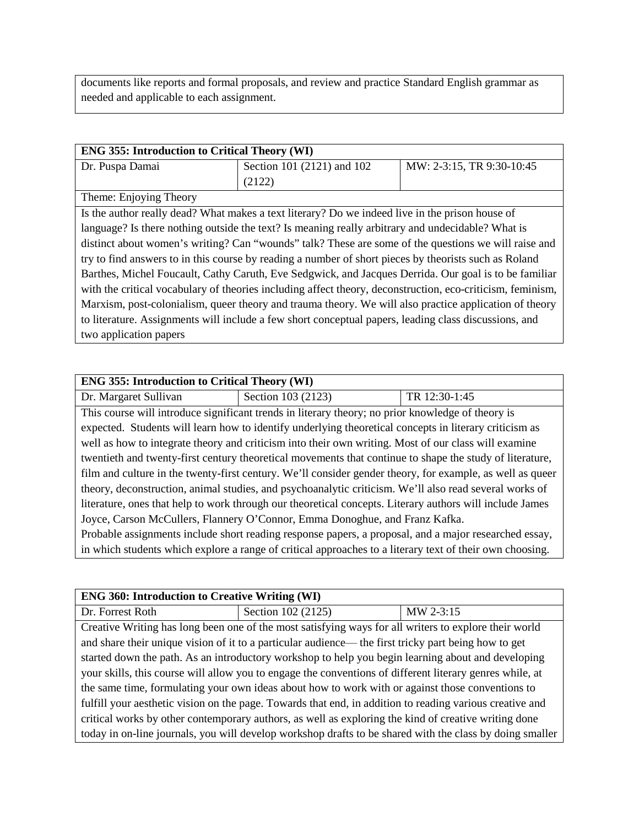documents like reports and formal proposals, and review and practice Standard English grammar as needed and applicable to each assignment.

| <b>ENG 355: Introduction to Critical Theory (WI)</b>                                                       |                                                                                                       |                           |
|------------------------------------------------------------------------------------------------------------|-------------------------------------------------------------------------------------------------------|---------------------------|
| Dr. Puspa Damai                                                                                            | Section 101 (2121) and 102                                                                            | MW: 2-3:15, TR 9:30-10:45 |
|                                                                                                            | (2122)                                                                                                |                           |
| Theme: Enjoying Theory                                                                                     |                                                                                                       |                           |
|                                                                                                            | Is the author really dead? What makes a text literary? Do we indeed live in the prison house of       |                           |
| language? Is there nothing outside the text? Is meaning really arbitrary and undecidable? What is          |                                                                                                       |                           |
| distinct about women's writing? Can "wounds" talk? These are some of the questions we will raise and       |                                                                                                       |                           |
| try to find answers to in this course by reading a number of short pieces by theorists such as Roland      |                                                                                                       |                           |
| Barthes, Michel Foucault, Cathy Caruth, Eve Sedgwick, and Jacques Derrida. Our goal is to be familiar      |                                                                                                       |                           |
| with the critical vocabulary of theories including affect theory, deconstruction, eco-criticism, feminism, |                                                                                                       |                           |
| Marxism, post-colonialism, queer theory and trauma theory. We will also practice application of theory     |                                                                                                       |                           |
|                                                                                                            | to literature. Assignments will include a few short conceptual papers, leading class discussions, and |                           |
| two application papers                                                                                     |                                                                                                       |                           |

| <b>ENG 355: Introduction to Critical Theory (WI)</b>                                                      |                                                                                                          |               |
|-----------------------------------------------------------------------------------------------------------|----------------------------------------------------------------------------------------------------------|---------------|
| Dr. Margaret Sullivan                                                                                     | Section 103 (2123)                                                                                       | TR 12:30-1:45 |
|                                                                                                           | This course will introduce significant trends in literary theory; no prior knowledge of theory is        |               |
|                                                                                                           | expected. Students will learn how to identify underlying theoretical concepts in literary criticism as   |               |
|                                                                                                           | well as how to integrate theory and criticism into their own writing. Most of our class will examine     |               |
|                                                                                                           | twentieth and twenty-first century theoretical movements that continue to shape the study of literature, |               |
| film and culture in the twenty-first century. We'll consider gender theory, for example, as well as queer |                                                                                                          |               |
| theory, deconstruction, animal studies, and psychoanalytic criticism. We'll also read several works of    |                                                                                                          |               |
| literature, ones that help to work through our theoretical concepts. Literary authors will include James  |                                                                                                          |               |
| Joyce, Carson McCullers, Flannery O'Connor, Emma Donoghue, and Franz Kafka.                               |                                                                                                          |               |
| Probable assignments include short reading response papers, a proposal, and a major researched essay,     |                                                                                                          |               |
| in which students which explore a range of critical approaches to a literary text of their own choosing.  |                                                                                                          |               |
|                                                                                                           |                                                                                                          |               |

| <b>ENG 360: Introduction to Creative Writing (WI)</b>                                                    |                                                                                                          |           |
|----------------------------------------------------------------------------------------------------------|----------------------------------------------------------------------------------------------------------|-----------|
| Dr. Forrest Roth                                                                                         | Section 102 (2125)                                                                                       | MW 2-3:15 |
|                                                                                                          | Creative Writing has long been one of the most satisfying ways for all writers to explore their world    |           |
|                                                                                                          | and share their unique vision of it to a particular audience— the first tricky part being how to get     |           |
| started down the path. As an introductory workshop to help you begin learning about and developing       |                                                                                                          |           |
| your skills, this course will allow you to engage the conventions of different literary genres while, at |                                                                                                          |           |
| the same time, formulating your own ideas about how to work with or against those conventions to         |                                                                                                          |           |
| fulfill your aesthetic vision on the page. Towards that end, in addition to reading various creative and |                                                                                                          |           |
|                                                                                                          | critical works by other contemporary authors, as well as exploring the kind of creative writing done     |           |
|                                                                                                          | today in on-line journals, you will develop workshop drafts to be shared with the class by doing smaller |           |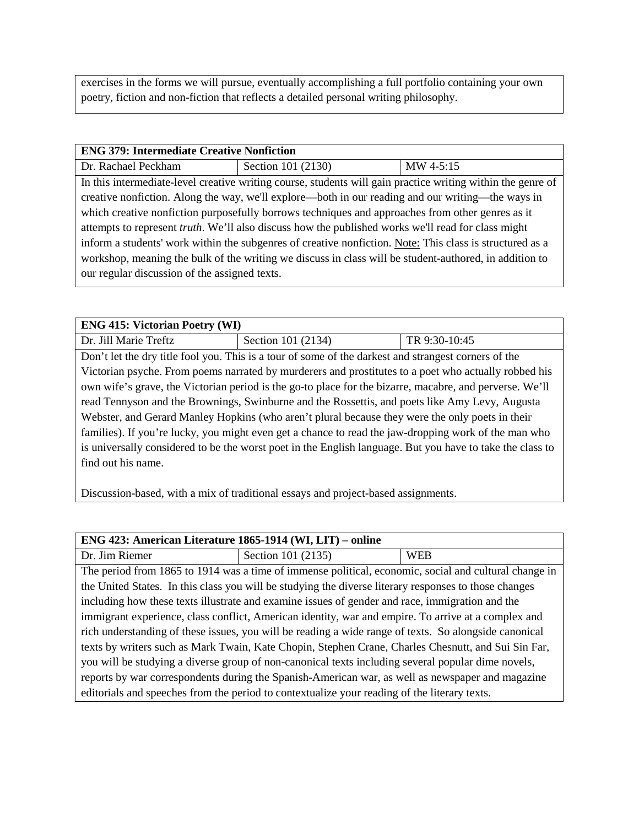exercises in the forms we will pursue, eventually accomplishing a full portfolio containing your own poetry, fiction and non-fiction that reflects a detailed personal writing philosophy.

#### **ENG 379: Intermediate Creative Nonfiction**

| Dr. Rachael Peckham | Section 101 (2130) | MW 4-5:15 |
|---------------------|--------------------|-----------|

In this intermediate-level creative writing course, students will gain practice writing within the genre of creative nonfiction. Along the way, we'll explore—both in our reading and our writing—the ways in which creative nonfiction purposefully borrows techniques and approaches from other genres as it attempts to represent *truth*. We'll also discuss how the published works we'll read for class might inform a students' work within the subgenres of creative nonfiction. Note: This class is structured as a workshop, meaning the bulk of the writing we discuss in class will be student-authored, in addition to our regular discussion of the assigned texts.

#### **ENG 415: Victorian Poetry (WI)**

Dr. Jill Marie Treftz | Section 101 (2134) | TR 9:30-10:45

Don't let the dry title fool you. This is a tour of some of the darkest and strangest corners of the Victorian psyche. From poems narrated by murderers and prostitutes to a poet who actually robbed his own wife's grave, the Victorian period is the go-to place for the bizarre, macabre, and perverse. We'll read Tennyson and the Brownings, Swinburne and the Rossettis, and poets like Amy Levy, Augusta Webster, and Gerard Manley Hopkins (who aren't plural because they were the only poets in their families). If you're lucky, you might even get a chance to read the jaw-dropping work of the man who is universally considered to be the worst poet in the English language. But you have to take the class to find out his name.

Discussion-based, with a mix of traditional essays and project-based assignments.

| ENG 423: American Literature 1865-1914 (WI, LIT) – online                                             |                                                                                                       |            |
|-------------------------------------------------------------------------------------------------------|-------------------------------------------------------------------------------------------------------|------------|
| Dr. Jim Riemer                                                                                        | Section 101 (2135)                                                                                    | <b>WEB</b> |
|                                                                                                       | The period from 1865 to 1914 was a time of immense political, economic, social and cultural change in |            |
|                                                                                                       | the United States. In this class you will be studying the diverse literary responses to those changes |            |
|                                                                                                       | including how these texts illustrate and examine issues of gender and race, immigration and the       |            |
| immigrant experience, class conflict, American identity, war and empire. To arrive at a complex and   |                                                                                                       |            |
| rich understanding of these issues, you will be reading a wide range of texts. So alongside canonical |                                                                                                       |            |
| texts by writers such as Mark Twain, Kate Chopin, Stephen Crane, Charles Chesnutt, and Sui Sin Far,   |                                                                                                       |            |
| you will be studying a diverse group of non-canonical texts including several popular dime novels,    |                                                                                                       |            |
|                                                                                                       | reports by war correspondents during the Spanish-American war, as well as newspaper and magazine      |            |
|                                                                                                       | editorials and speeches from the period to contextualize your reading of the literary texts.          |            |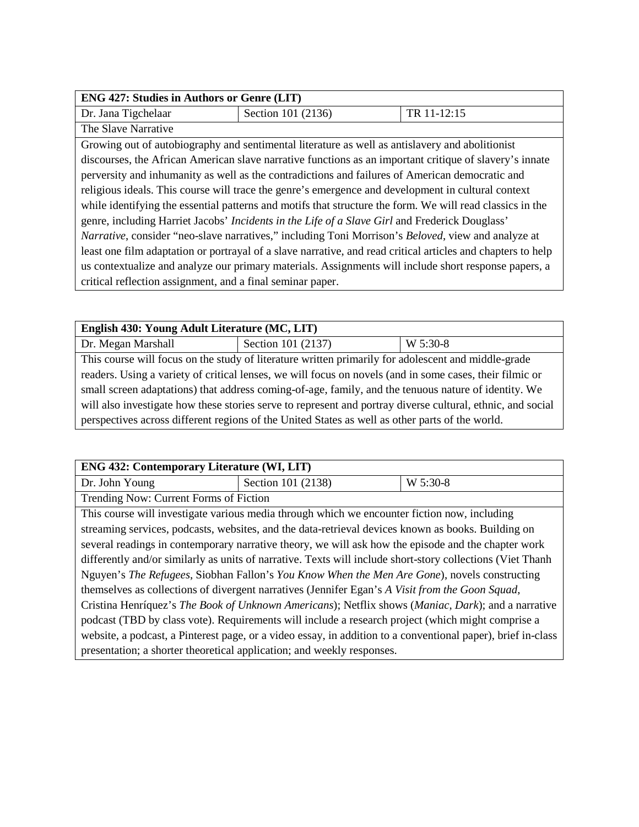| <b>ENG 427: Studies in Authors or Genre (LIT)</b>                                                         |                                                                                                                    |             |  |
|-----------------------------------------------------------------------------------------------------------|--------------------------------------------------------------------------------------------------------------------|-------------|--|
| Dr. Jana Tigchelaar                                                                                       | Section 101 (2136)                                                                                                 | TR 11-12:15 |  |
| The Slave Narrative                                                                                       |                                                                                                                    |             |  |
|                                                                                                           | Growing out of autobiography and sentimental literature as well as antislavery and abolitionist                    |             |  |
| discourses, the African American slave narrative functions as an important critique of slavery's innate   |                                                                                                                    |             |  |
| perversity and inhumanity as well as the contradictions and failures of American democratic and           |                                                                                                                    |             |  |
| religious ideals. This course will trace the genre's emergence and development in cultural context        |                                                                                                                    |             |  |
| while identifying the essential patterns and motifs that structure the form. We will read classics in the |                                                                                                                    |             |  |
| genre, including Harriet Jacobs' Incidents in the Life of a Slave Girl and Frederick Douglass'            |                                                                                                                    |             |  |
|                                                                                                           | <i>Narrative</i> , consider "neo-slave narratives," including Toni Morrison's <i>Beloved</i> , view and analyze at |             |  |

least one film adaptation or portrayal of a slave narrative, and read critical articles and chapters to help us contextualize and analyze our primary materials. Assignments will include short response papers, a critical reflection assignment, and a final seminar paper.

| English 430: Young Adult Literature (MC, LIT)                                                               |                    |          |
|-------------------------------------------------------------------------------------------------------------|--------------------|----------|
| Dr. Megan Marshall                                                                                          | Section 101 (2137) | W 5:30-8 |
| This course will focus on the study of literature written primarily for adolescent and middle-grade         |                    |          |
| readers. Using a variety of critical lenses, we will focus on novels (and in some cases, their filmic or    |                    |          |
| small screen adaptations) that address coming-of-age, family, and the tenuous nature of identity. We        |                    |          |
| will also investigate how these stories serve to represent and portray diverse cultural, ethnic, and social |                    |          |
| perspectives across different regions of the United States as well as other parts of the world.             |                    |          |

| <b>ENG 432: Contemporary Literature (WI, LIT)</b>                                                          |                                                                                                              |          |
|------------------------------------------------------------------------------------------------------------|--------------------------------------------------------------------------------------------------------------|----------|
| Dr. John Young                                                                                             | Section 101 (2138)                                                                                           | W 5:30-8 |
| Trending Now: Current Forms of Fiction                                                                     |                                                                                                              |          |
|                                                                                                            | This course will investigate various media through which we encounter fiction now, including                 |          |
|                                                                                                            | streaming services, podcasts, websites, and the data-retrieval devices known as books. Building on           |          |
|                                                                                                            | several readings in contemporary narrative theory, we will ask how the episode and the chapter work          |          |
| differently and/or similarly as units of narrative. Texts will include short-story collections (Viet Thanh |                                                                                                              |          |
| Nguyen's The Refugees, Siobhan Fallon's You Know When the Men Are Gone), novels constructing               |                                                                                                              |          |
|                                                                                                            | themselves as collections of divergent narratives (Jennifer Egan's A Visit from the Goon Squad,              |          |
|                                                                                                            | Cristina Henríquez's The Book of Unknown Americans); Netflix shows (Maniac, Dark); and a narrative           |          |
| podcast (TBD by class vote). Requirements will include a research project (which might comprise a          |                                                                                                              |          |
|                                                                                                            | website, a podcast, a Pinterest page, or a video essay, in addition to a conventional paper), brief in-class |          |
|                                                                                                            | presentation; a shorter theoretical application; and weekly responses.                                       |          |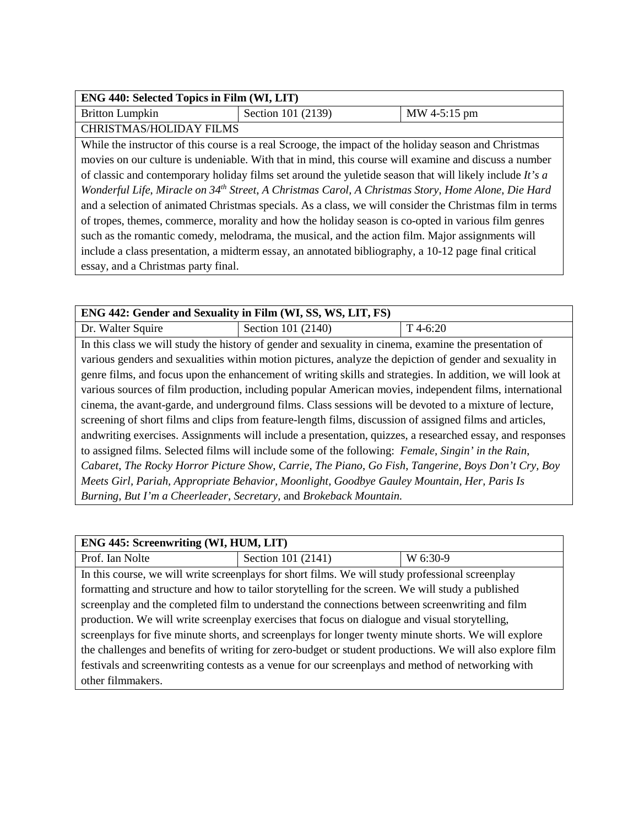| ENG 440: Selected Topics in Film (WI, LIT)                                                                     |                                                                                                          |              |
|----------------------------------------------------------------------------------------------------------------|----------------------------------------------------------------------------------------------------------|--------------|
| <b>Britton Lumpkin</b>                                                                                         | Section 101 (2139)                                                                                       | MW 4-5:15 pm |
| <b>CHRISTMAS/HOLIDAY FILMS</b>                                                                                 |                                                                                                          |              |
|                                                                                                                | While the instructor of this course is a real Scrooge, the impact of the holiday season and Christmas    |              |
|                                                                                                                | movies on our culture is undeniable. With that in mind, this course will examine and discuss a number    |              |
| of classic and contemporary holiday films set around the yuletide season that will likely include It's a       |                                                                                                          |              |
| Wonderful Life, Miracle on 34 <sup>th</sup> Street, A Christmas Carol, A Christmas Story, Home Alone, Die Hard |                                                                                                          |              |
|                                                                                                                | and a selection of animated Christmas specials. As a class, we will consider the Christmas film in terms |              |
|                                                                                                                | of tropes, themes, commerce, morality and how the holiday season is co-opted in various film genres      |              |
|                                                                                                                | such as the romantic comedy, melodrama, the musical, and the action film. Major assignments will         |              |
|                                                                                                                | include a class presentation, a midterm essay, an annotated bibliography, a 10-12 page final critical    |              |
| essay, and a Christmas party final.                                                                            |                                                                                                          |              |

| ENG 442: Gender and Sexuality in Film (WI, SS, WS, LIT, FS)                                              |                                                                                                          |                                                                                                            |
|----------------------------------------------------------------------------------------------------------|----------------------------------------------------------------------------------------------------------|------------------------------------------------------------------------------------------------------------|
| Dr. Walter Squire                                                                                        | Section 101 (2140)                                                                                       | $T$ 4-6:20                                                                                                 |
|                                                                                                          | In this class we will study the history of gender and sexuality in cinema, examine the presentation of   |                                                                                                            |
|                                                                                                          | various genders and sexualities within motion pictures, analyze the depiction of gender and sexuality in |                                                                                                            |
|                                                                                                          |                                                                                                          | genre films, and focus upon the enhancement of writing skills and strategies. In addition, we will look at |
|                                                                                                          |                                                                                                          | various sources of film production, including popular American movies, independent films, international    |
| cinema, the avant-garde, and underground films. Class sessions will be devoted to a mixture of lecture,  |                                                                                                          |                                                                                                            |
| screening of short films and clips from feature-length films, discussion of assigned films and articles, |                                                                                                          |                                                                                                            |
|                                                                                                          |                                                                                                          | andwriting exercises. Assignments will include a presentation, quizzes, a researched essay, and responses  |
|                                                                                                          | to assigned films. Selected films will include some of the following: Female, Singin' in the Rain,       |                                                                                                            |
|                                                                                                          | Cabaret, The Rocky Horror Picture Show, Carrie, The Piano, Go Fish, Tangerine, Boys Don't Cry, Boy       |                                                                                                            |
|                                                                                                          | Meets Girl, Pariah, Appropriate Behavior, Moonlight, Goodbye Gauley Mountain, Her, Paris Is              |                                                                                                            |
|                                                                                                          | Burning, But I'm a Cheerleader, Secretary, and Brokeback Mountain.                                       |                                                                                                            |

| ENG 445: Screenwriting (WI, HUM, LIT)                                                                    |                                                                                                   |          |
|----------------------------------------------------------------------------------------------------------|---------------------------------------------------------------------------------------------------|----------|
| Prof. Ian Nolte                                                                                          | Section 101 (2141)                                                                                | W 6:30-9 |
|                                                                                                          | In this course, we will write screenplays for short films. We will study professional screenplay  |          |
|                                                                                                          | formatting and structure and how to tailor storytelling for the screen. We will study a published |          |
| screenplay and the completed film to understand the connections between screenwriting and film           |                                                                                                   |          |
| production. We will write screenplay exercises that focus on dialogue and visual storytelling,           |                                                                                                   |          |
| screenplays for five minute shorts, and screenplays for longer twenty minute shorts. We will explore     |                                                                                                   |          |
| the challenges and benefits of writing for zero-budget or student productions. We will also explore film |                                                                                                   |          |
|                                                                                                          | festivals and screenwriting contests as a venue for our screenplays and method of networking with |          |
| other filmmakers.                                                                                        |                                                                                                   |          |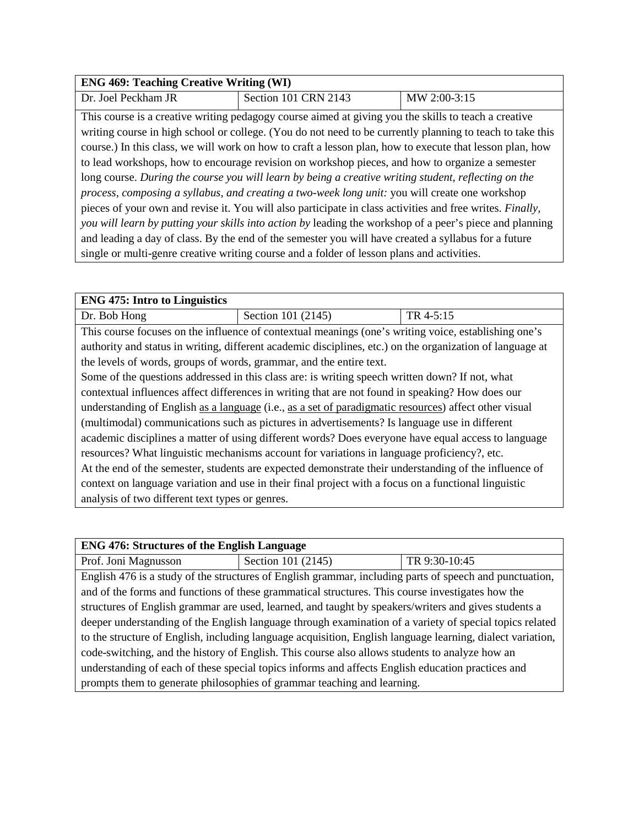#### **ENG 469: Teaching Creative Writing (WI)**

Dr. Joel Peckham JR Section 101 CRN 2143 MW 2:00-3:15

This course is a creative writing pedagogy course aimed at giving you the skills to teach a creative writing course in high school or college. (You do not need to be currently planning to teach to take this course.) In this class, we will work on how to craft a lesson plan, how to execute that lesson plan, how to lead workshops, how to encourage revision on workshop pieces, and how to organize a semester long course. *During the course you will learn by being a creative writing student, reflecting on the process, composing a syllabus, and creating a two-week long unit:* you will create one workshop pieces of your own and revise it. You will also participate in class activities and free writes. *Finally, you will learn by putting your skills into action by* leading the workshop of a peer's piece and planning and leading a day of class. By the end of the semester you will have created a syllabus for a future single or multi-genre creative writing course and a folder of lesson plans and activities.

| <b>ENG 475: Intro to Linguistics</b>                                                                  |                                                                                                           |           |
|-------------------------------------------------------------------------------------------------------|-----------------------------------------------------------------------------------------------------------|-----------|
| Dr. Bob Hong                                                                                          | Section 101 (2145)                                                                                        | TR 4-5:15 |
|                                                                                                       | This course focuses on the influence of contextual meanings (one's writing voice, establishing one's      |           |
|                                                                                                       | authority and status in writing, different academic disciplines, etc.) on the organization of language at |           |
| the levels of words, groups of words, grammar, and the entire text.                                   |                                                                                                           |           |
|                                                                                                       | Some of the questions addressed in this class are: is writing speech written down? If not, what           |           |
| contextual influences affect differences in writing that are not found in speaking? How does our      |                                                                                                           |           |
| understanding of English as a language (i.e., as a set of paradigmatic resources) affect other visual |                                                                                                           |           |
| (multimodal) communications such as pictures in advertisements? Is language use in different          |                                                                                                           |           |
|                                                                                                       | academic disciplines a matter of using different words? Does everyone have equal access to language       |           |
| resources? What linguistic mechanisms account for variations in language proficiency?, etc.           |                                                                                                           |           |
| At the end of the semester, students are expected demonstrate their understanding of the influence of |                                                                                                           |           |
|                                                                                                       | context on language variation and use in their final project with a focus on a functional linguistic      |           |
| analysis of two different text types or genres.                                                       |                                                                                                           |           |

| <b>ENG 476: Structures of the English Language</b>                                                         |                                                                                                         |               |
|------------------------------------------------------------------------------------------------------------|---------------------------------------------------------------------------------------------------------|---------------|
| Prof. Joni Magnusson                                                                                       | Section 101 (2145)                                                                                      | TR 9:30-10:45 |
|                                                                                                            | English 476 is a study of the structures of English grammar, including parts of speech and punctuation, |               |
|                                                                                                            | and of the forms and functions of these grammatical structures. This course investigates how the        |               |
| structures of English grammar are used, learned, and taught by speakers/writers and gives students a       |                                                                                                         |               |
| deeper understanding of the English language through examination of a variety of special topics related    |                                                                                                         |               |
| to the structure of English, including language acquisition, English language learning, dialect variation, |                                                                                                         |               |
| code-switching, and the history of English. This course also allows students to analyze how an             |                                                                                                         |               |
| understanding of each of these special topics informs and affects English education practices and          |                                                                                                         |               |
|                                                                                                            | prompts them to generate philosophies of grammar teaching and learning.                                 |               |